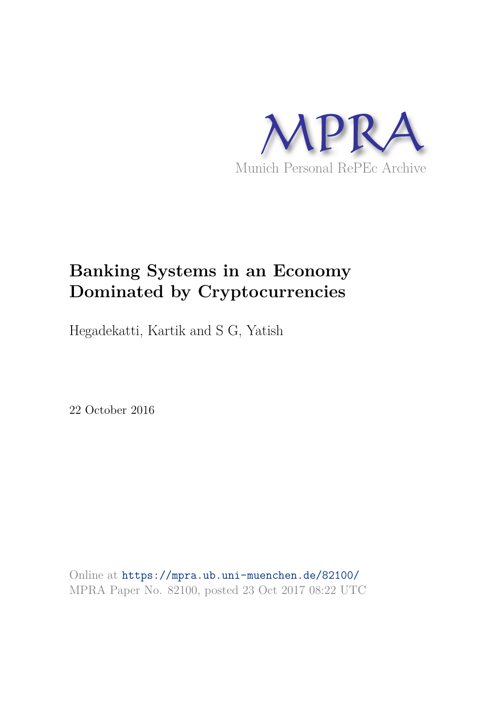

# **Banking Systems in an Economy Dominated by Cryptocurrencies**

Hegadekatti, Kartik and S G, Yatish

22 October 2016

Online at https://mpra.ub.uni-muenchen.de/82100/ MPRA Paper No. 82100, posted 23 Oct 2017 08:22 UTC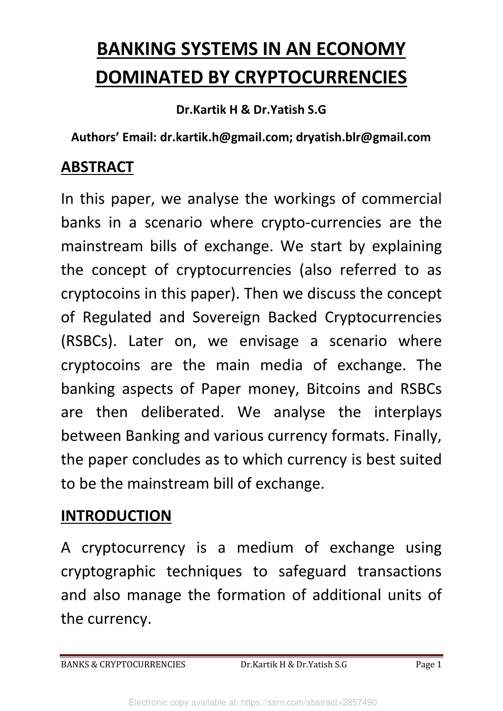# **BANKING SYSTEMS IN AN ECONOMY DOMINATED BY CRYPTOCURRENCIES**

**Dr.Kartik H & Dr.Yatish S.G**

**Authors' Email: dr.kartik.h@gmail.com; dryatish.blr@gmail.com**

### **ABSTRACT**

In this paper, we analyse the workings of commercial banks in a scenario where crypto-currencies are the mainstream bills of exchange. We start by explaining the concept of cryptocurrencies (also referred to as cryptocoins in this paper). Then we discuss the concept of Regulated and Sovereign Backed Cryptocurrencies (RSBCs). Later on, we envisage a scenario where cryptocoins are the main media of exchange. The banking aspects of Paper money, Bitcoins and RSBCs are then deliberated. We analyse the interplays between Banking and various currency formats. Finally, the paper concludes as to which currency is best suited to be the mainstream bill of exchange.

# **INTRODUCTION**

A cryptocurrency is a medium of exchange using cryptographic techniques to safeguard transactions and also manage the formation of additional units of the currency.

BANKS & CRYPTOCURRENCIES Dr.Kartik H & Dr.Yatish S.G Page 1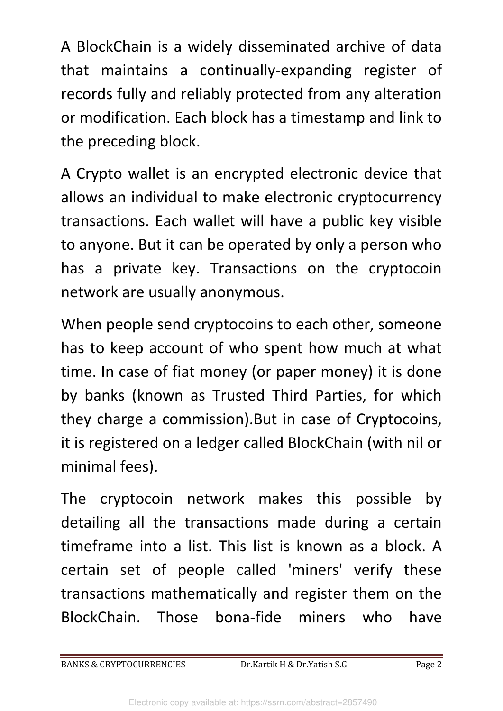A BlockChain is a widely disseminated archive of data that maintains a continually-expanding register of records fully and reliably protected from any alteration or modification. Each block has a timestamp and link to the preceding block.

A Crypto wallet is an encrypted electronic device that allows an individual to make electronic cryptocurrency transactions. Each wallet will have a public key visible to anyone. But it can be operated by only a person who has a private key. Transactions on the cryptocoin network are usually anonymous.

When people send cryptocoins to each other, someone has to keep account of who spent how much at what time. In case of fiat money (or paper money) it is done by banks (known as Trusted Third Parties, for which they charge a commission).But in case of Cryptocoins, it is registered on a ledger called BlockChain (with nil or minimal fees).

The cryptocoin network makes this possible by detailing all the transactions made during a certain timeframe into a list. This list is known as a block. A certain set of people called 'miners' verify these transactions mathematically and register them on the BlockChain. Those bona-fide miners who have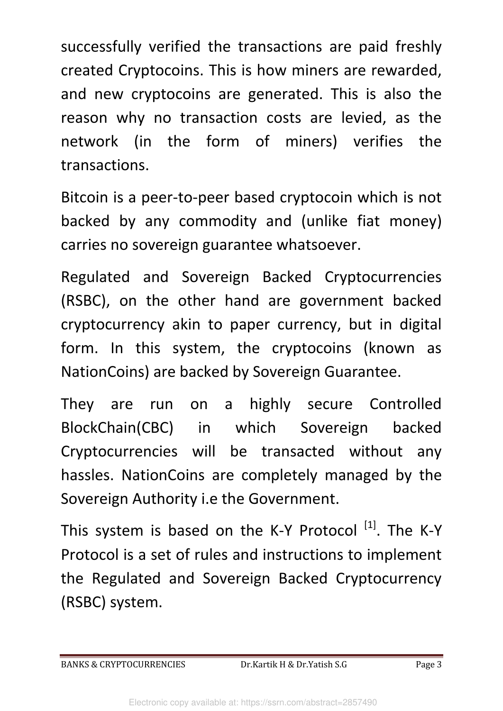successfully verified the transactions are paid freshly created Cryptocoins. This is how miners are rewarded, and new cryptocoins are generated. This is also the reason why no transaction costs are levied, as the network (in the form of miners) verifies the transactions.

Bitcoin is a peer-to-peer based cryptocoin which is not backed by any commodity and (unlike fiat money) carries no sovereign guarantee whatsoever.

Regulated and Sovereign Backed Cryptocurrencies (RSBC), on the other hand are government backed cryptocurrency akin to paper currency, but in digital form. In this system, the cryptocoins (known as NationCoins) are backed by Sovereign Guarantee.

They are run on a highly secure Controlled BlockChain(CBC) in which Sovereign backed Cryptocurrencies will be transacted without any hassles. NationCoins are completely managed by the Sovereign Authority i.e the Government.

This system is based on the K-Y Protocol  $^{[1]}$ . The K-Y Protocol is a set of rules and instructions to implement the Regulated and Sovereign Backed Cryptocurrency (RSBC) system.

BANKS & CRYPTOCURRENCIES Dr.Kartik H & Dr.Yatish S.G Page 3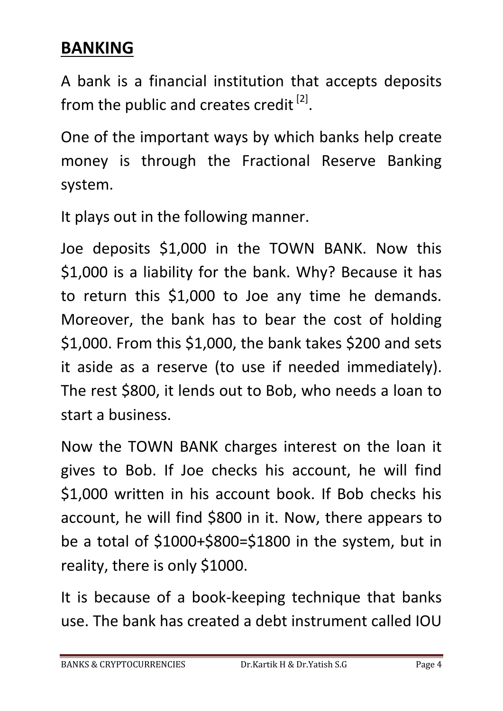# **BANKING**

A bank is a financial institution that accepts deposits from the public and creates credit  $^{[2]}$ .

One of the important ways by which banks help create money is through the Fractional Reserve Banking system.

It plays out in the following manner.

Joe deposits \$1,000 in the TOWN BANK. Now this \$1,000 is a liability for the bank. Why? Because it has to return this \$1,000 to Joe any time he demands. Moreover, the bank has to bear the cost of holding \$1,000. From this \$1,000, the bank takes \$200 and sets it aside as a reserve (to use if needed immediately). The rest \$800, it lends out to Bob, who needs a loan to start a business.

Now the TOWN BANK charges interest on the loan it gives to Bob. If Joe checks his account, he will find \$1,000 written in his account book. If Bob checks his account, he will find \$800 in it. Now, there appears to be a total of \$1000+\$800=\$1800 in the system, but in reality, there is only \$1000.

It is because of a book-keeping technique that banks use. The bank has created a debt instrument called IOU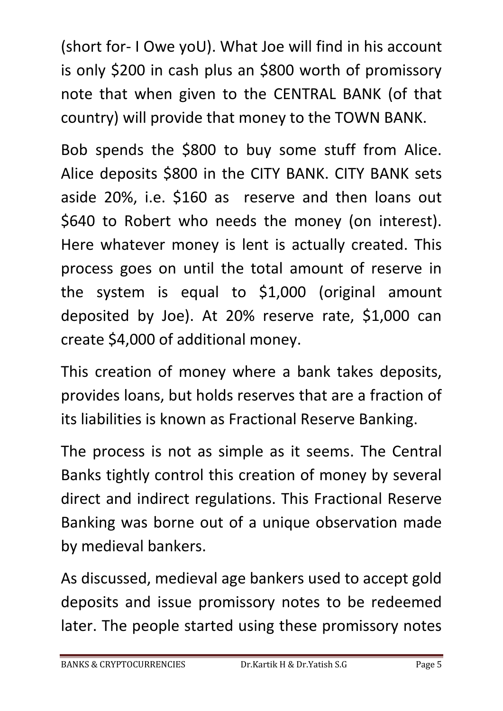(short for- I Owe yoU). What Joe will find in his account is only \$200 in cash plus an \$800 worth of promissory note that when given to the CENTRAL BANK (of that country) will provide that money to the TOWN BANK.

Bob spends the \$800 to buy some stuff from Alice. Alice deposits \$800 in the CITY BANK. CITY BANK sets aside 20%, i.e. \$160 as reserve and then loans out \$640 to Robert who needs the money (on interest). Here whatever money is lent is actually created. This process goes on until the total amount of reserve in the system is equal to \$1,000 (original amount deposited by Joe). At 20% reserve rate, \$1,000 can create \$4,000 of additional money.

This creation of money where a bank takes deposits, provides loans, but holds reserves that are a fraction of its liabilities is known as Fractional Reserve Banking.

The process is not as simple as it seems. The Central Banks tightly control this creation of money by several direct and indirect regulations. This Fractional Reserve Banking was borne out of a unique observation made by medieval bankers.

As discussed, medieval age bankers used to accept gold deposits and issue promissory notes to be redeemed later. The people started using these promissory notes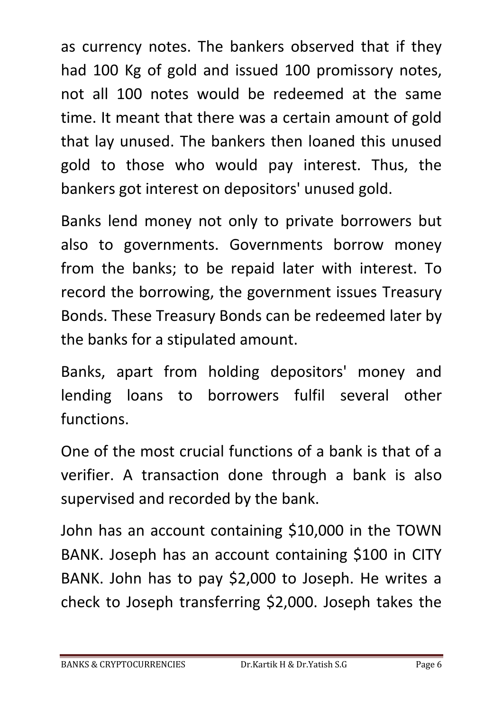as currency notes. The bankers observed that if they had 100 Kg of gold and issued 100 promissory notes, not all 100 notes would be redeemed at the same time. It meant that there was a certain amount of gold that lay unused. The bankers then loaned this unused gold to those who would pay interest. Thus, the bankers got interest on depositors' unused gold.

Banks lend money not only to private borrowers but also to governments. Governments borrow money from the banks; to be repaid later with interest. To record the borrowing, the government issues Treasury Bonds. These Treasury Bonds can be redeemed later by the banks for a stipulated amount.

Banks, apart from holding depositors' money and lending loans to borrowers fulfil several other functions.

One of the most crucial functions of a bank is that of a verifier. A transaction done through a bank is also supervised and recorded by the bank.

John has an account containing \$10,000 in the TOWN BANK. Joseph has an account containing \$100 in CITY BANK. John has to pay \$2,000 to Joseph. He writes a check to Joseph transferring \$2,000. Joseph takes the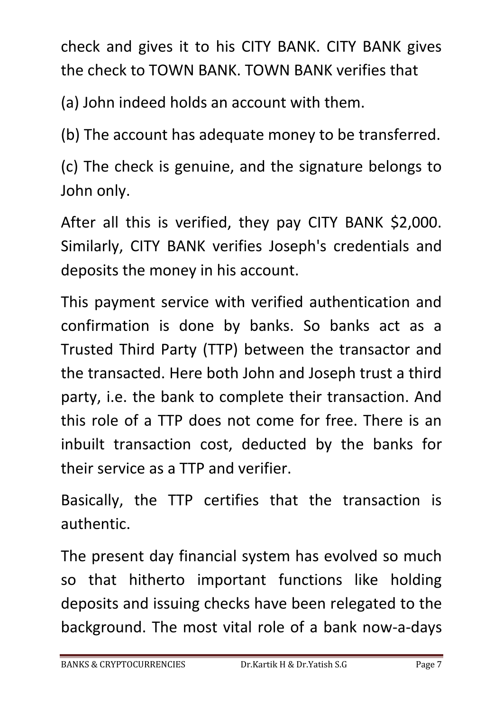check and gives it to his CITY BANK. CITY BANK gives the check to TOWN BANK. TOWN BANK verifies that

(a) John indeed holds an account with them.

(b) The account has adequate money to be transferred.

(c) The check is genuine, and the signature belongs to John only.

After all this is verified, they pay CITY BANK \$2,000. Similarly, CITY BANK verifies Joseph's credentials and deposits the money in his account.

This payment service with verified authentication and confirmation is done by banks. So banks act as a Trusted Third Party (TTP) between the transactor and the transacted. Here both John and Joseph trust a third party, i.e. the bank to complete their transaction. And this role of a TTP does not come for free. There is an inbuilt transaction cost, deducted by the banks for their service as a TTP and verifier.

Basically, the TTP certifies that the transaction is authentic.

The present day financial system has evolved so much so that hitherto important functions like holding deposits and issuing checks have been relegated to the background. The most vital role of a bank now-a-days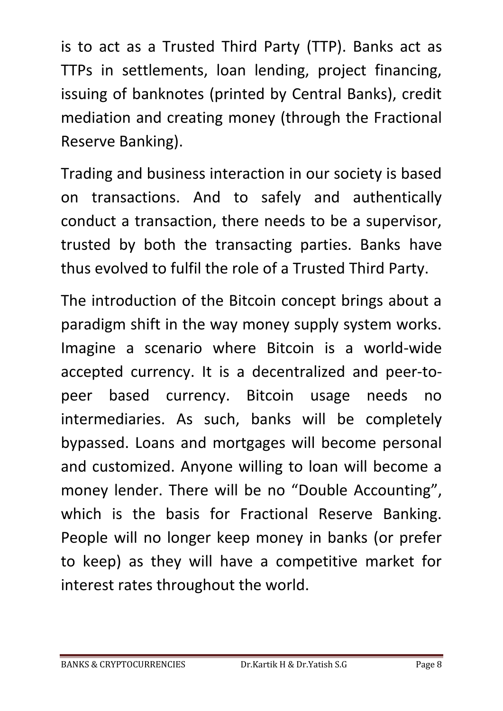is to act as a Trusted Third Party (TTP). Banks act as TTPs in settlements, loan lending, project financing, issuing of banknotes (printed by Central Banks), credit mediation and creating money (through the Fractional Reserve Banking).

Trading and business interaction in our society is based on transactions. And to safely and authentically conduct a transaction, there needs to be a supervisor, trusted by both the transacting parties. Banks have thus evolved to fulfil the role of a Trusted Third Party.

The introduction of the Bitcoin concept brings about a paradigm shift in the way money supply system works. Imagine a scenario where Bitcoin is a world-wide accepted currency. It is a decentralized and peer-topeer based currency. Bitcoin usage needs no intermediaries. As such, banks will be completely bypassed. Loans and mortgages will become personal and customized. Anyone willing to loan will become a money lender. There will be no "Double Accounting", which is the basis for Fractional Reserve Banking. People will no longer keep money in banks (or prefer to keep) as they will have a competitive market for interest rates throughout the world.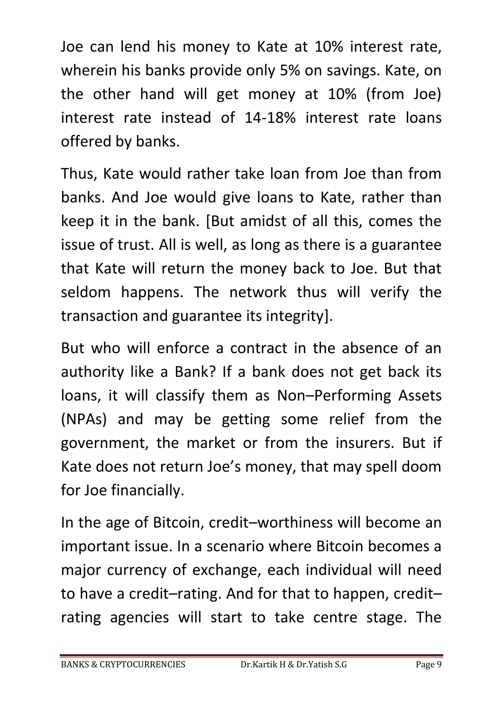Joe can lend his money to Kate at 10% interest rate, wherein his banks provide only 5% on savings. Kate, on the other hand will get money at 10% (from Joe) interest rate instead of 14-18% interest rate loans offered by banks.

Thus, Kate would rather take loan from Joe than from banks. And Joe would give loans to Kate, rather than keep it in the bank. [But amidst of all this, comes the issue of trust. All is well, as long as there is a guarantee that Kate will return the money back to Joe. But that seldom happens. The network thus will verify the transaction and guarantee its integrity].

But who will enforce a contract in the absence of an authority like a Bank? If a bank does not get back its loans, it will classify them as Non–Performing Assets (NPAs) and may be getting some relief from the government, the market or from the insurers. But if Kate does not return Joe's money, that may spell doom for Joe financially.

In the age of Bitcoin, credit–worthiness will become an important issue. In a scenario where Bitcoin becomes a major currency of exchange, each individual will need to have a credit–rating. And for that to happen, credit– rating agencies will start to take centre stage. The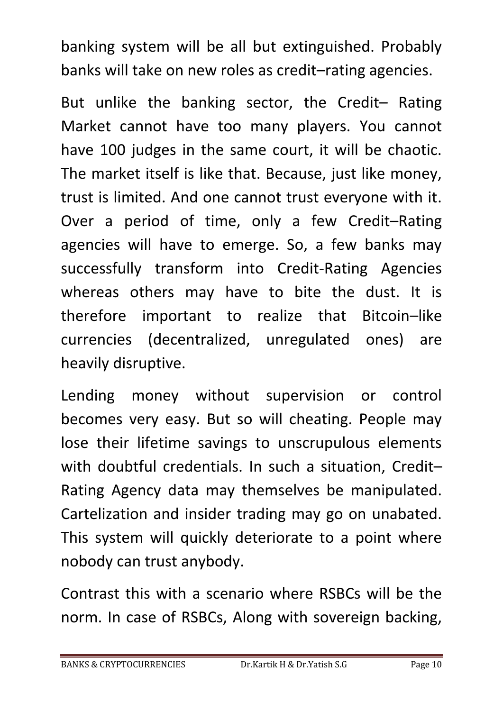banking system will be all but extinguished. Probably banks will take on new roles as credit–rating agencies.

But unlike the banking sector, the Credit– Rating Market cannot have too many players. You cannot have 100 judges in the same court, it will be chaotic. The market itself is like that. Because, just like money, trust is limited. And one cannot trust everyone with it. Over a period of time, only a few Credit–Rating agencies will have to emerge. So, a few banks may successfully transform into Credit-Rating Agencies whereas others may have to bite the dust. It is therefore important to realize that Bitcoin–like currencies (decentralized, unregulated ones) are heavily disruptive.

Lending money without supervision or control becomes very easy. But so will cheating. People may lose their lifetime savings to unscrupulous elements with doubtful credentials. In such a situation, Credit– Rating Agency data may themselves be manipulated. Cartelization and insider trading may go on unabated. This system will quickly deteriorate to a point where nobody can trust anybody.

Contrast this with a scenario where RSBCs will be the norm. In case of RSBCs, Along with sovereign backing,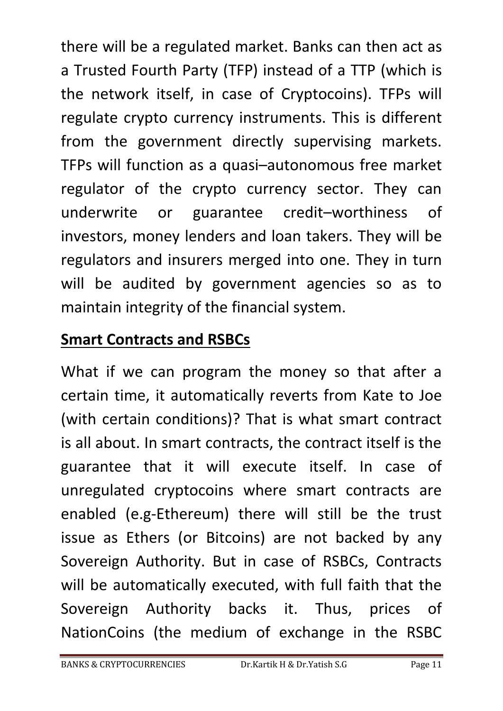there will be a regulated market. Banks can then act as a Trusted Fourth Party (TFP) instead of a TTP (which is the network itself, in case of Cryptocoins). TFPs will regulate crypto currency instruments. This is different from the government directly supervising markets. TFPs will function as a quasi–autonomous free market regulator of the crypto currency sector. They can underwrite or guarantee credit–worthiness of investors, money lenders and loan takers. They will be regulators and insurers merged into one. They in turn will be audited by government agencies so as to maintain integrity of the financial system.

# **Smart Contracts and RSBCs**

What if we can program the money so that after a certain time, it automatically reverts from Kate to Joe (with certain conditions)? That is what smart contract is all about. In smart contracts, the contract itself is the guarantee that it will execute itself. In case of unregulated cryptocoins where smart contracts are enabled (e.g-Ethereum) there will still be the trust issue as Ethers (or Bitcoins) are not backed by any Sovereign Authority. But in case of RSBCs, Contracts will be automatically executed, with full faith that the Sovereign Authority backs it. Thus, prices of NationCoins (the medium of exchange in the RSBC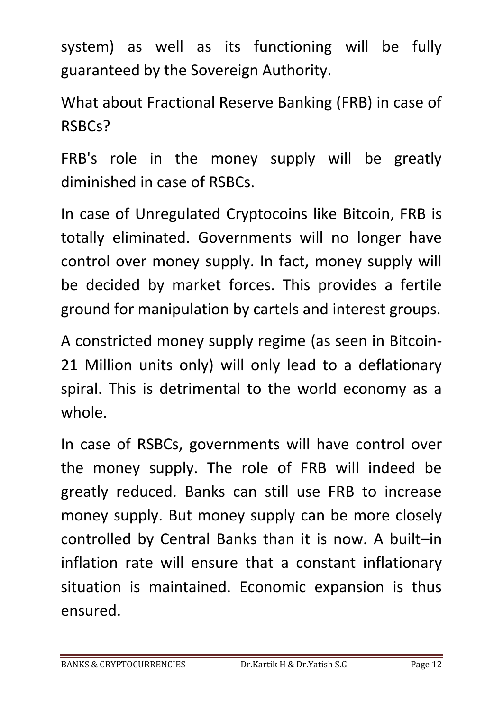system) as well as its functioning will be fully guaranteed by the Sovereign Authority.

What about Fractional Reserve Banking (FRB) in case of RSBCs?

FRB's role in the money supply will be greatly diminished in case of RSBCs.

In case of Unregulated Cryptocoins like Bitcoin, FRB is totally eliminated. Governments will no longer have control over money supply. In fact, money supply will be decided by market forces. This provides a fertile ground for manipulation by cartels and interest groups.

A constricted money supply regime (as seen in Bitcoin-21 Million units only) will only lead to a deflationary spiral. This is detrimental to the world economy as a whole.

In case of RSBCs, governments will have control over the money supply. The role of FRB will indeed be greatly reduced. Banks can still use FRB to increase money supply. But money supply can be more closely controlled by Central Banks than it is now. A built–in inflation rate will ensure that a constant inflationary situation is maintained. Economic expansion is thus ensured.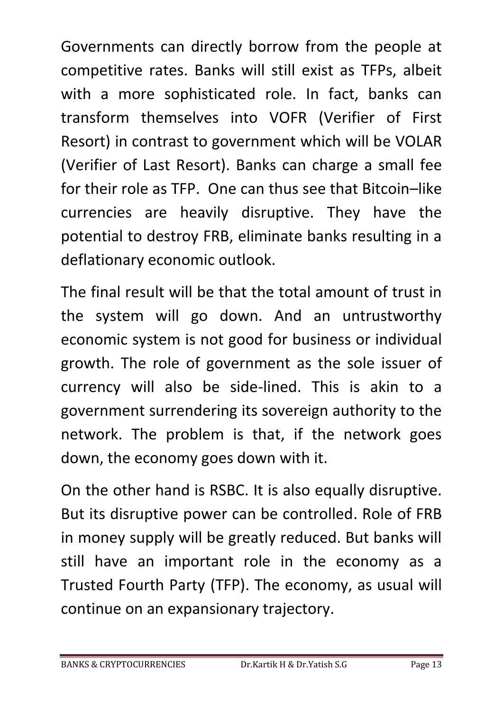Governments can directly borrow from the people at competitive rates. Banks will still exist as TFPs, albeit with a more sophisticated role. In fact, banks can transform themselves into VOFR (Verifier of First Resort) in contrast to government which will be VOLAR (Verifier of Last Resort). Banks can charge a small fee for their role as TFP. One can thus see that Bitcoin–like currencies are heavily disruptive. They have the potential to destroy FRB, eliminate banks resulting in a deflationary economic outlook.

The final result will be that the total amount of trust in the system will go down. And an untrustworthy economic system is not good for business or individual growth. The role of government as the sole issuer of currency will also be side-lined. This is akin to a government surrendering its sovereign authority to the network. The problem is that, if the network goes down, the economy goes down with it.

On the other hand is RSBC. It is also equally disruptive. But its disruptive power can be controlled. Role of FRB in money supply will be greatly reduced. But banks will still have an important role in the economy as a Trusted Fourth Party (TFP). The economy, as usual will continue on an expansionary trajectory.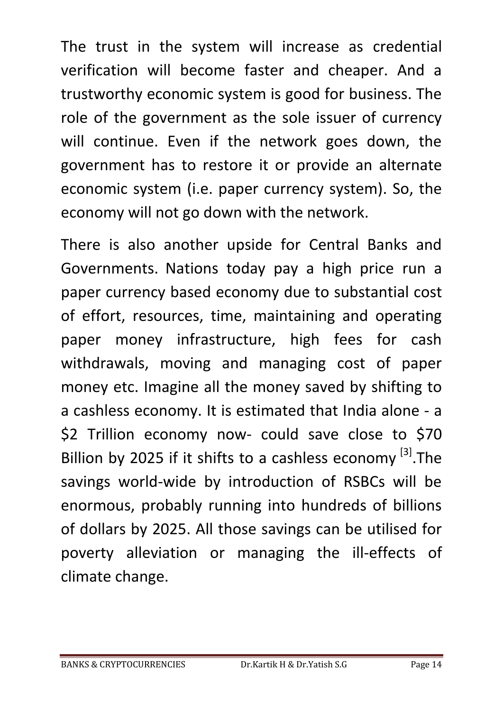The trust in the system will increase as credential verification will become faster and cheaper. And a trustworthy economic system is good for business. The role of the government as the sole issuer of currency will continue. Even if the network goes down, the government has to restore it or provide an alternate economic system (i.e. paper currency system). So, the economy will not go down with the network.

There is also another upside for Central Banks and Governments. Nations today pay a high price run a paper currency based economy due to substantial cost of effort, resources, time, maintaining and operating paper money infrastructure, high fees for cash withdrawals, moving and managing cost of paper money etc. Imagine all the money saved by shifting to a cashless economy. It is estimated that India alone - a \$2 Trillion economy now- could save close to \$70 Billion by 2025 if it shifts to a cashless economy  $^{[3]}$ . The savings world-wide by introduction of RSBCs will be enormous, probably running into hundreds of billions of dollars by 2025. All those savings can be utilised for poverty alleviation or managing the ill-effects of climate change.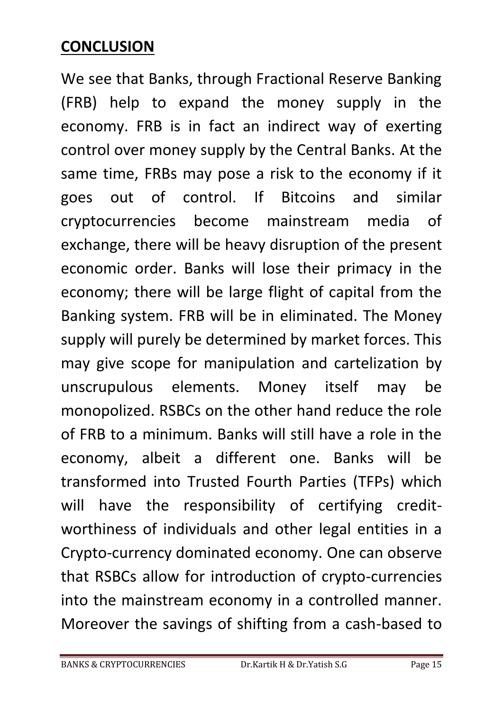#### **CONCLUSION**

We see that Banks, through Fractional Reserve Banking (FRB) help to expand the money supply in the economy. FRB is in fact an indirect way of exerting control over money supply by the Central Banks. At the same time, FRBs may pose a risk to the economy if it goes out of control. If Bitcoins and similar cryptocurrencies become mainstream media of exchange, there will be heavy disruption of the present economic order. Banks will lose their primacy in the economy; there will be large flight of capital from the Banking system. FRB will be in eliminated. The Money supply will purely be determined by market forces. This may give scope for manipulation and cartelization by unscrupulous elements. Money itself may be monopolized. RSBCs on the other hand reduce the role of FRB to a minimum. Banks will still have a role in the economy, albeit a different one. Banks will be transformed into Trusted Fourth Parties (TFPs) which will have the responsibility of certifying creditworthiness of individuals and other legal entities in a Crypto-currency dominated economy. One can observe that RSBCs allow for introduction of crypto-currencies into the mainstream economy in a controlled manner. Moreover the savings of shifting from a cash-based to